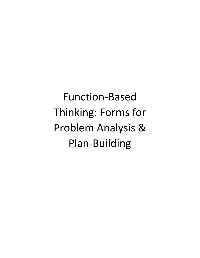Function-Based Thinking: Forms for Problem Analysis & Plan‐Building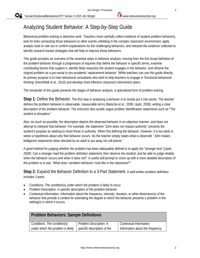'Social-Emotional/Behavioral RTI' Series © 2015 Jim Wright *www.interventioncentral.org*

# Analyzing Student Behavior: A Step-by-Step Guide

Behavioral problem-solving is detective work. Teachers must carefully collect evidence of student problem behaviors, look for links connecting those behaviors to other events unfolding in the complex classroom environment, apply analytic tools to rule out or confirm explanations for the challenging behaviors, and interpret the evidence collected to identify research-based strategies that will help to improve those behaviors.

This guide provides an overview of the essential steps in behavior analysis--moving from the first broad definition of the problem behavior through a progression of inquiries that define the behavior in specific terms, examine contributing factors that support it, identify likely reason(s) the student engages in the behavior, and reframe the original problem as a pro-social or pro-academic 'replacement behavior'. While teachers can use this guide directly, its primary purpose is to train behavioral consultants who wish to help teachers to engage in 'functional behavioral thinking' (Hershfeldt et al., 2010) and develop more effective classroom intervention plans.

The remainder of this guide presents the stages of behavior analysis, a specialized form of problem-solving.

**Step 1:** Define the Behavior. The first step in analyzing a behavior is to simply put it into words. The teacher defines the problem behavior in observable, measurable terms (Batsche et al., 2008; Upah, 2008), writing a clear description of the problem behavior. The instructor also avoids vague problem identification statements such as "The student is disruptive."

Also, as much as possible, the description depicts the observed behavior in an objective manner--and does not attempt to interpret that behavior. For example, the statement "John does not respect authority" presents the student's purpose as seeking to resist those in authority. When first defining the behavior, however, it is too early to select a hypothesis about *why* that behavior occurs. So the teacher simply states what is observed: "John makes belligerent statements when directed by an adult to put away his cell phone."

A good method for judging whether the problem has been adequately defined is to apply the "stranger test" (Upah, 2008): Can a stranger read the problem definition statement, then observe the student, and be able to judge reliably when the behavior occurs and when it does not? A useful self-prompt to come up with a more detailed description of the problem is to ask, "What does <problem behavior> look like in the classroom?"

**Step 2:** Expand the Behavior Definition to a 3-Part Statement. A well-written problem definition includes 3 parts:

- Conditions. The condition(s) under which the problem is likely to occur
- Problem Description. A specific description of the problem behavior
- Contextual information. Information about the frequency, intensity, duration, or other dimension(s) of the behavior that provide a context for estimating the degree to which the behavior presents a problem in the setting(s) in which it occurs.

| <b>Problem Behaviors: Sample Definitions</b> |                             |                                  |
|----------------------------------------------|-----------------------------|----------------------------------|
| Conditions. The condition(s)                 | Problem Description. A      | Contextual Information.          |
| under which the problem is likely            | specific description of the | Information about the frequency, |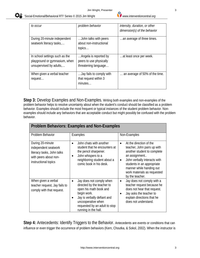| to occur                       | problem behavior         | intensity, duration, or other  |
|--------------------------------|--------------------------|--------------------------------|
|                                |                          |                                |
|                                |                          | $dimension(s)$ of the behavior |
|                                |                          |                                |
| During 20-minute independent   | John talks with peers    | an average of three times.     |
| seatwork literacy tasks,       | about non-instructional  |                                |
|                                |                          |                                |
|                                | topics                   |                                |
|                                |                          |                                |
| In school settings such as the | Angela is reported by    | at least once per week.        |
| playground or gymnasium, when  | peers to use physically  |                                |
|                                |                          |                                |
| unsupervised by adults,        | threatening language     |                                |
|                                |                          |                                |
| When given a verbal teacher    | Jay fails to comply with | an average of 50% of the time. |
| request                        | that request within 3    |                                |
|                                |                          |                                |
|                                | minutes                  |                                |
|                                |                          |                                |

**Step 3:** Develop Examples and Non-Examples. Writing both examples and non-examples of the problem behavior helps to resolve uncertainty about when the student's conduct should be classified as a problem behavior. Examples should include the most frequent or typical instances of the student problem behavior. Nonexamples should include any behaviors that are acceptable conduct but might possibly be confused with the problem behavior.

| <b>Problem Behaviors: Examples and Non-Examples</b>                                                                     |                                                                                                                                                                                                                            |                                                                                                                                                                                                                                                                              |
|-------------------------------------------------------------------------------------------------------------------------|----------------------------------------------------------------------------------------------------------------------------------------------------------------------------------------------------------------------------|------------------------------------------------------------------------------------------------------------------------------------------------------------------------------------------------------------------------------------------------------------------------------|
| Problem Behavior                                                                                                        | Examples                                                                                                                                                                                                                   | Non-Examples                                                                                                                                                                                                                                                                 |
| During 20-minute<br>independent seatwork<br>literacy tasks, John talks<br>with peers about non-<br>instructional topics | John chats with another<br>$\bullet$<br>student that he encounters at<br>the pencil sharpener.<br>John whispers to a<br>neighboring student about a<br>comic book in his desk.                                             | At the direction of the<br>$\bullet$<br>teacher, John pairs up with<br>another student to complete<br>an assignment<br>John verbally interacts with<br>$\bullet$<br>students in an appropriate<br>manner while handing out<br>work materials as requested<br>by the teacher. |
| When given a verbal<br>teacher request, Jay fails to<br>comply with that request.                                       | Jay does not comply when<br>$\bullet$<br>directed by the teacher to<br>open his math book and<br>begin work.<br>Jay is verbally defiant and<br>uncooperative when<br>requested by an adult to stop<br>running in the hall. | Jay does not comply with a<br>$\bullet$<br>teacher request because he<br>does not hear that request.<br>Jay asks the teacher to<br>explain directions that he<br>does not understand.                                                                                        |

Step 4: Antecedents: Identify Triggers to the Behavior. Antecedents are events or conditions that can influence or even trigger the occurrence of problem behaviors (Kern, Choutka, & Sokol, 2002). When the instructor is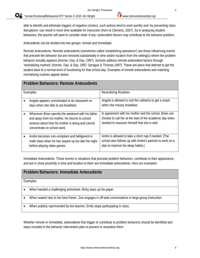$\mathbf{Q}_{\mathbf{z}}^{\circ}$ 'Social-Emotional/Behavioral RTI' Series © 2015 Jim Wright *www.interventioncentral.org*

able to identify and eliminate triggers of negative conduct, such actions tend to work quickly and--by preventing class disruptions--can result in more time available for instruction (Kern & Clemens, 2007). So in analyzing student behaviors, the teacher will want to consider what--if any--antecedent factors may contribute to the behavior problem.

Antecedents can be divided into two groups: remote and immediate.

Remote Antecedents. Remote antecedents (sometimes called 'establishing operations') are those influencing events that precede the behavior but are removed substantially in time and/or location from the setting(s) where the problem behavior actually appears (Horner, Day, & Day, 1997). Schools address remote-antecedent factors through 'neutralizing routines' (Horner, Day, & Day, 1997; Sprague & Thomas,1997). These are plans that attempt to get the student back to a normal level of functioning for that school day. Examples of remote antecedents and matching normalizing routines appear below.

|          | <b>Problem Behaviors: Remote Antecedents</b>                                                                                                                                           |                                                                                                                                                                    |  |
|----------|----------------------------------------------------------------------------------------------------------------------------------------------------------------------------------------|--------------------------------------------------------------------------------------------------------------------------------------------------------------------|--|
| Examples |                                                                                                                                                                                        | <b>Neutralizing Routines</b>                                                                                                                                       |  |
|          | Angela appears unmotivated to do classwork on<br>days when she fails to eat breakfast.                                                                                                 | Angela is allowed to visit the cafeteria to get a snack<br>when she misses breakfast.                                                                              |  |
|          | Whenever Brian spends the weekend with his father<br>and away from his mother, he returns to school<br>anxious about how his mother is doing and cannot<br>concentrate on school work. | In agreement with his mother and the school, Brian can<br>choose to call her at the start of the academic day when<br>needed to reassure himself that she is well. |  |
|          | Andre becomes non-compliant and belligerent in<br>math class when he has stayed up too late the night<br>before playing video games.                                                   | Andre is allowed to take a short nap if needed. [The<br>school also follows up with Andre's parents to work on a<br>plan to improve his sleep habits.]             |  |

Immediate Antecedents. Those events or situations that precede problem behaviors, contribute to their appearance, and are in close proximity in time and location to them are immediate antecedents. Here are examples:

#### **Problem Behaviors: Immediate Antecedents**

Examples

- When handed a challenging worksheet, Ricky tears up his paper.
- When seated next to her best friend , Zoe engages in off-task conversations in large-group instruction.
- When publicly reprimanded by her teacher, Emily stops participating in class.

Whether remote or immediate, antecedents that trigger or contribute to problem behaviors should be identified and steps included in the behavior intervention plan to prevent or neutralize them.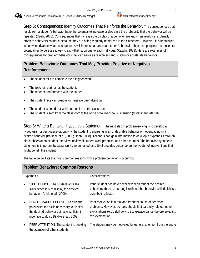**Step 5:** Consequences: Identify Outcomes That Reinforce the Behavior. The consequences that result from a student's behavior have the potential to increase or decrease the probability that the behavior will be repeated (Upah, 2008). Consequences that *increase* the display of a behavior are known as reinforcers. Usually problem behaviors continue because they are being regularly reinforced in the classroom. However, it is impossible to know in advance what consequences will increase a particular student's behavior, because people's responses to potential reinforcers are idiosyncratic --that is, unique to each individual (Kazdin, 1989). Here are examples of consequences for problem behaviors that can serve as reinforcers and sustain or accelerate behaviors.

# **Problem Behaviors: Outcomes That May Provide (Positive or Negative) Reinforcement**

- The student fails to complete the assigned work.
- The teacher reprimands the student.
- The teacher conferences with the student.
- The student receives positive or negative peer attention.
- The student is timed-out within or outside of the classroom.
- The student is sent from the classroom to the office or to in-school suspension (disciplinary referral).

**Step 6:** Write a Behavior Hypothesis Statement. The next step in problem-solving is to develop a hypothesis--or best guess--about why the student is engaging in an undesirable behavior or not engaging in a desired behavior (Batsche et al., 2008; Upah, 2008). Teachers can gain information to develop a hypothesis through direct observation, student interview, review of student work products, and other sources. The behavior hypothesis statement is important because (a) it can be tested, and (b) it provides guidance on the type(s) of interventions that might benefit the student.

The table below lists the *most common* reasons why a problem behavior is occurring:

| <b>Problem Behaviors: Common Reasons</b>                                                                                                                               |                                                                                                                                                                                                                            |  |
|------------------------------------------------------------------------------------------------------------------------------------------------------------------------|----------------------------------------------------------------------------------------------------------------------------------------------------------------------------------------------------------------------------|--|
| <b>Hypothesis</b>                                                                                                                                                      | Considerations                                                                                                                                                                                                             |  |
| SKILL DEFICIT. The student lacks the<br>skills necessary to display the desired<br>behavior (Gable et al., 2009).                                                      | If the student has never explicitly been taught the desired<br>behaviors, there is a strong likelihood that behavior-skill deficit is a<br>contributing factor.                                                            |  |
| PERFORMANCE DEFICIT. The student<br>possesses the skills necessary to display<br>the desired behavior but lacks sufficient<br>incentive to do so (Gable et al., 2009). | Poor motivation is a real and frequent cause of behavior<br>problems. However, schools should first carefully rule out other<br>explanations (e.g., skill deficit; escape/avoidance) before selecting<br>this explanation. |  |
| PEER ATTENTION. The student is seeking<br>the attention of other students                                                                                              | The student may be motivated by general attention from the entire                                                                                                                                                          |  |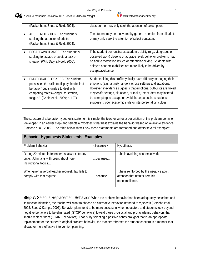| (Packenham, Shute & Reid, 2004).                                                                                                                                                                                 | classroom or may only seek the attention of select peers.                                                                                                                                                                                                                                                                                                                                                                 |
|------------------------------------------------------------------------------------------------------------------------------------------------------------------------------------------------------------------|---------------------------------------------------------------------------------------------------------------------------------------------------------------------------------------------------------------------------------------------------------------------------------------------------------------------------------------------------------------------------------------------------------------------------|
| ADULT ATTENTION. The student is<br>seeking the attention of adults<br>(Packenham, Shute & Reid, 2004).                                                                                                           | The student may be motivated by general attention from all adults<br>or may only seek the attention of select educators.                                                                                                                                                                                                                                                                                                  |
| ESCAPE/AVOIDANCE. The student is<br>seeking to escape or avoid a task or<br>situation (Witt, Daly & Noell, 2000).                                                                                                | If the student demonstrates academic ability (e.g., via grades or<br>observed work) close to or at grade level, behavior problems may<br>be tied to motivation issues or attention-seeking. Students with<br>delayed academic abilities are more likely to be driven by<br>escape/avoidance.                                                                                                                              |
| <b>EMOTIONAL BLOCKERS. The student</b><br>possesses the skills to display the desired<br>behavior "but is unable to deal with<br>competing forces—anger, frustration,<br>fatique." (Gable et al., 2009; p. 197). | Students fitting this profile typically have difficulty managing their<br>emotions (e.g., anxiety, anger) across settings and situations.<br>However, if evidence suggests that emotional outbursts are linked<br>to specific settings, situations, or tasks, the student may instead<br>be attempting to escape or avoid those particular situations--<br>suggesting poor academic skills or interpersonal difficulties. |

The structure of a behavior hypothesis statement is simple: the teacher writes a description of the problem behavior (developed in an earlier step) and selects a hypothesis that best explains the behavior based on available evidence (Batsche et al., 2008). The table below shows how these statements are formatted and offers several examples:

| <b>Behavior Hypothesis Statements: Examples</b>                                                                   |                     |                                                                                             |  |
|-------------------------------------------------------------------------------------------------------------------|---------------------|---------------------------------------------------------------------------------------------|--|
| Problem Behavior                                                                                                  | <because></because> | Hypothesis                                                                                  |  |
| During 20-minute independent seatwork literacy<br>tasks, John talks with peers about non-<br>instructional topics | because             | he is avoiding academic work.                                                               |  |
| When given a verbal teacher request, Jay fails to<br>comply with that request                                     | because             | he is reinforced by the negative adult<br>attention that results from his<br>noncompliance. |  |

**Step 7:** Select a Replacement Behavior. When the problem behavior has been adequately described and its function identified, the teacher will want to choose an alternative behavior intended to *replace* it (Batsche et al., 2008; Scott & Kamps, 2007). Behavior plans tend to be more successful when educators and students look beyond negative behaviors to be eliminated ('STOP' behaviors) toward those pro-social and pro-academic behaviors that should replace them ('START' behaviors). That is, by selecting a positive behavioral goal that is an appropriate replacement for the student's original problem behavior, the teacher reframes the student concern in a manner that allows for more effective intervention planning.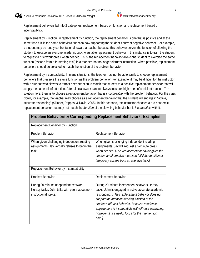'Social-Emotional/Behavioral RTI' Series © 2015 Jim Wright *www.interventioncentral.org*

Replacement behaviors fall into 2 categories: replacement based on function and replacement based on incompatibility.

Replacement by Function. In replacement by function, the replacement behavior is one that is positive and at the same time fulfills the *same* behavioral function now supporting the student's current negative behavior. For example, a student may be loudly confrontational toward a teacher because this behavior serves the function of allowing the student to escape an aversive academic task. A suitable replacement behavior in this instance is to train the student to request a brief work-break when needed. Thus, the replacement behavior allows the student to exercise the same function (escape from a frustrating task) in a manner that no longer disrupts instruction. When possible, replacement behaviors should be selected to match the function of the problem behavior.

Replacement by Incompatibility. In many situations, the teacher may not be able easily to choose replacement behaviors that preserve the same function as the problem behavior. For example, it may be difficult for the instructor with a student who clowns to attract peer attention to match that student to a positive replacement behavior that will supply the same jolt of attention. After all, classwork cannot always focus on high rates of social interaction. The solution here, then, is to choose a replacement behavior that is *incompatible* with the problem behavior. For the class clown, for example, the teacher may choose as a replacement behavior that the student will engage in "active, accurate responding" (Skinner, Pappas, & Davis, 2005). In this scenario, the instructor chooses a pro-academic replacement behavior that may not match the *function* of the clowning behavior but is *incompatible* with it.

| <b>Problem Behaviors &amp; Corresponding Replacement Behaviors: Examples</b>                                       |                                                                                                                                                                                                                                                                                                                                                                                    |  |
|--------------------------------------------------------------------------------------------------------------------|------------------------------------------------------------------------------------------------------------------------------------------------------------------------------------------------------------------------------------------------------------------------------------------------------------------------------------------------------------------------------------|--|
| Replacement Behavior by Function                                                                                   |                                                                                                                                                                                                                                                                                                                                                                                    |  |
| Problem Behavior                                                                                                   | Replacement Behavior                                                                                                                                                                                                                                                                                                                                                               |  |
| When given challenging independent reading<br>assignments, Jay verbally refuses to begin the<br>task.              | When given challenging independent reading<br>assignments, Jay will request a 5-minute break<br>when needed. [This replacement behavior gives the<br>student an alternative means to fulfill the function of<br>temporary escape from an aversive task.]                                                                                                                           |  |
| Replacement Behavior by Incompatibility                                                                            |                                                                                                                                                                                                                                                                                                                                                                                    |  |
| Problem Behavior                                                                                                   | Replacement Behavior                                                                                                                                                                                                                                                                                                                                                               |  |
| During 20-minute independent seatwork<br>literacy tasks, John talks with peers about non-<br>instructional topics. | During 20-minute independent seatwork literacy<br>tasks, John is engaged in active accurate academic<br>responding. [This replacement behavior does not<br>support the attention-seeking function of the<br>student's off-task behavior. Because academic<br>engagement is incompatible with off-task socializing,<br>however, it is a useful focus for the intervention<br>plan.] |  |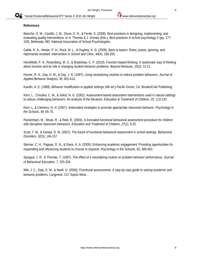#### **References**

Batsche, G. M., Castillo, J. M., Dixon, D. N., & Forde, S. (2008). Best practices in designing, implementing, and evaluating quality interventions. In A. Thomas & J. Grimes (Eds.), *Best practices in school psychology V* (pp. 177- 193). Bethesda, MD: National Association of School Psychologists.

Gable, R. A., Hester, P. H., Rock, M. L., & Hughes, K. G. (2009). Back to basics: Rules, praise, ignoring, and reprimands revisited. *Intervention in School and Clinic, 44*(4), 195-205.

Hershfeldt, P. A., Rosenberg, M. S., & Bradshaw, C. P. (2010). Function-based thinking: A systematic way of thinking about function and its role in changing student behavior problems. *Beyond Behavior, 19*(3), 12-21.

Horner, R. H., Day, H. M., & Day, J. R. (1997). Using neutralizing routines to reduce problem behaviors. *Journal of Applied Behavior Analysis, 30*, 601-614.

Kazdin, A. E. (1989). *Behavior modification in applied settings* (4th ed.).Pacific Grove, CA: Brooks/Cole Publishing.

Kern, L., Choutka, C. M., & Sokol, N. G. (2002). Assessment-based antecedent interventions used in natural settings to reduce challenging behaviors: An analysis of the literature*. Education & Treatment of Children, 25*, 113-130.

Kern, L. & Clemens, N. H. (2007). Antecedent strategies to promote appropriate classroom behavior. *Psychology in the Schools, 44*, 65-75.

Packenham, M., Shute, R., & Reid, R. (2004). A truncated functional behavioral assessment procedure for children with disruptive classroom behaviors*. Education and Treatment of Children, 27*(1), 9-25.

Scott, T. M., & Kamps, D. M. (2007). The future of functional behavioral assessment in school settings. *Behavioral Disorders, 32*(3), 146-157.

Skinner, C. H., Pappas, D. N., & Davis, K. A. (2005). Enhancing academic engagement: Providing opportunities for responding and influencing students to choose to respond. *Psychology in the Schools, 42*, 389-403.

Sprague, J. R., & Thomas, T. (1997). The effect of a neutralizing routine on problem behavior performance. *Journal. of Behavioral Education, 7*, 325-334.

Witt, J. C., Daly, E. M., & Noell, G. (2000). *Functional assessments: A step-by-step guide to solving academic and behavior problems.* Longmont, CO: Sopris West..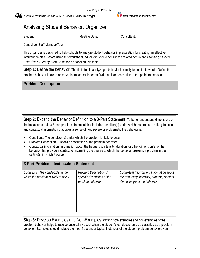# Analyzing Student Behavior: Organizer

Student: \_\_\_\_\_\_\_\_\_\_\_\_\_\_\_\_\_\_\_\_\_\_\_\_\_\_ Meeting Date: \_\_\_\_\_\_\_\_\_\_\_\_\_ Consultant: \_\_\_\_\_\_\_\_\_\_\_\_\_\_\_\_\_\_\_\_\_\_\_\_

Consultee: Staff Member/Team:

This organizer is designed to help schools to analyze student behavior in preparation for creating an effective intervention plan. Before using this worksheet, educators should consult the related document *Analyzing Student Behavior: A Step-by-Step Guide* for a tutorial on this topic.

**Step 1:** Define the behavior. The first step in analyzing a behavior is simply to put it into words. Define the problem behavior in clear, observable, measurable terms. Write a clear description of the problem behavior.

| <b>Problem Description</b> |  |  |
|----------------------------|--|--|
|                            |  |  |
|                            |  |  |
|                            |  |  |

**Step 2:** Expand the Behavior Definition to a 3-Part Statement. To better understand dimensions of the behavior, create a 3-part problem statement that includes condition(s) under which the problem is likely to occur, and contextual information that gives a sense of how severe or problematic the behavior is:

- Conditions. The condition(s) under which the problem is likely to occur
- Problem Description. A specific description of the problem behavior
- Contextual information. Information about the frequency, intensity, duration, or other dimension(s) of the behavior that provide a context for estimating the degree to which the behavior presents a problem in the setting(s) in which it occurs.

| 3-Part Problem Identification Statement                                    |                                                                           |                                                                                                                           |
|----------------------------------------------------------------------------|---------------------------------------------------------------------------|---------------------------------------------------------------------------------------------------------------------------|
| Conditions. The condition(s) under<br>which the problem is likely to occur | Problem Description. A<br>specific description of the<br>problem behavior | Contextual Information. Information about<br>the frequency, intensity, duration, or other<br>dimension(s) of the behavior |
|                                                                            |                                                                           |                                                                                                                           |

**Step 3:** Develop Examples and Non-Examples. Writing both examples and non-examples of the problem behavior helps to resolve uncertainty about when the student's conduct should be classified as a problem behavior. Examples should include the most frequent or typical instances of the student problem behavior. Non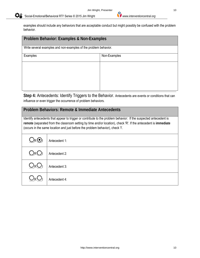examples should include any behaviors that are acceptable conduct but might possibly be confused with the problem behavior.

| Problem Behavior: Examples & Non-Examples                        |              |  |
|------------------------------------------------------------------|--------------|--|
| Write several examples and non-examples of the problem behavior. |              |  |
| Examples                                                         | Non-Examples |  |
|                                                                  |              |  |
|                                                                  |              |  |
|                                                                  |              |  |
|                                                                  |              |  |

**Step 4:** Antecedents: Identify Triggers to the Behavior. Antecedents are events or conditions that can influence or even trigger the occurrence of problem behaviors.

### **Problem Behaviors: Remote & Immediate Antecedents**

Identify antecedents that appear to trigger or contribute to the problem behavior: If the suspected antecedent is **remote** (separated from the classroom setting by time and/or location), check 'R'. If the antecedent is **immediate** (occurs in the same location and just before the problem behavior), check 'I'.

| $Q_RQ_I$                    | Antecedent 1: |
|-----------------------------|---------------|
| $Q_RQ_I$                    | Antecedent 2: |
| $Q_RQ$                      | Antecedent 3: |
| $\mathcal{L}_{\mathcal{R}}$ | Antecedent 4: |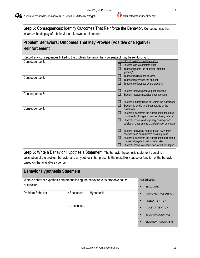**Step 5:** Consequences: Identify Outcomes That Reinforce the Behavior. Consequences that *increase* the display of a behavior are known as reinforcers.

| Problem Behaviors: Outcomes That May Provide (Positive or Negative)                            |              |                                                                                             |  |  |  |  |
|------------------------------------------------------------------------------------------------|--------------|---------------------------------------------------------------------------------------------|--|--|--|--|
| Reinforcement                                                                                  |              |                                                                                             |  |  |  |  |
|                                                                                                |              |                                                                                             |  |  |  |  |
| Record any consequences linked to the problem behavior that you suspect may be reinforcing it. |              |                                                                                             |  |  |  |  |
| Consequence 1:                                                                                 |              | <b>Examples of Possible Consequences</b>                                                    |  |  |  |  |
|                                                                                                |              | Student fails to complete work.<br>Teacher ignores the behavior ('planned                   |  |  |  |  |
|                                                                                                |              | ignoring').                                                                                 |  |  |  |  |
| Consequence 2:                                                                                 | $\mathsf{L}$ | Teacher redirects the student.                                                              |  |  |  |  |
|                                                                                                | ш            | Teacher reprimands the student.                                                             |  |  |  |  |
|                                                                                                |              | Teacher conferences w/ the student.                                                         |  |  |  |  |
|                                                                                                | ப            | Student receives positive peer attention                                                    |  |  |  |  |
| Consequence 3:                                                                                 | $\Box$       | Student receives negative peer attention.                                                   |  |  |  |  |
|                                                                                                | ப            | Student is briefly timed-out within the classroom.                                          |  |  |  |  |
| Consequence 4:                                                                                 | $\Box$       | Student is briefly timed-out outside of the                                                 |  |  |  |  |
|                                                                                                | П            | classroom.<br>Student is sent from the classroom to the office                              |  |  |  |  |
|                                                                                                |              | or to in-school suspension (disciplinary referral).                                         |  |  |  |  |
|                                                                                                | $\Box$       | Student receives a disciplinary consequence                                                 |  |  |  |  |
|                                                                                                |              | outside of class time (e.g., afterschool detention).                                        |  |  |  |  |
|                                                                                                | $\Box$       | Student receives a 'respite' break away from                                                |  |  |  |  |
|                                                                                                |              | peers to calm down before rejoining class.                                                  |  |  |  |  |
|                                                                                                |              | Student is sent from the classroom to talk with a<br>counselor/ psychologist/social worker. |  |  |  |  |
|                                                                                                |              | Student receives a snack, nap, or other support.                                            |  |  |  |  |

**Step 6:** Write a Behavior Hypothesis Statement. The behavior hypothesis statement contains a description of the problem behavior and a hypothesis that presents the most likely cause or function of the behavior based on the available evidence.

| <b>Behavior Hypothesis Statement</b>                                             |                     |             |                        |                           |  |  |  |
|----------------------------------------------------------------------------------|---------------------|-------------|------------------------|---------------------------|--|--|--|
| Write a behavior hypothesis statement linking the behavior to its probable cause |                     | Hypotheses: |                        |                           |  |  |  |
| or function.                                                                     |                     |             |                        | <b>SKILL DEFICIT</b>      |  |  |  |
| Problem Behavior                                                                 | <because></because> | Hypothesis  |                        | PERFORMANCE DEFICIT       |  |  |  |
|                                                                                  |                     |             |                        | PEER ATTENTION            |  |  |  |
| $$ because $$                                                                    |                     |             | <b>ADULT ATTENTION</b> |                           |  |  |  |
|                                                                                  |                     |             |                        | ESCAPE/AVOIDANCE          |  |  |  |
|                                                                                  |                     |             |                        | <b>EMOTIONAL BLOCKERS</b> |  |  |  |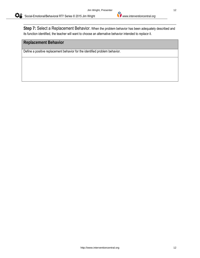**Step 7:** Select a Replacement Behavior. When the problem behavior has been adequately described and its function identified, the teacher will want to choose an alternative behavior intended to *replace* it.

#### **Replacement Behavior**

Define a positive replacement behavior for the identified problem behavior.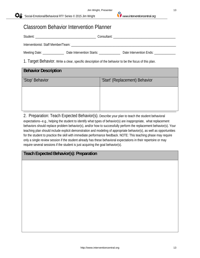# Classroom Behavior Intervention Planner

|                                                                                                       |  | Date Intervention Ends: _____________ |  |  |  |  |
|-------------------------------------------------------------------------------------------------------|--|---------------------------------------|--|--|--|--|
| 1. Target Behavior. Write a clear, specific description of the behavior to be the focus of this plan. |  |                                       |  |  |  |  |
| <b>Behavior Description</b>                                                                           |  |                                       |  |  |  |  |

| 'Stop' Behavior | 'Start' (Replacement) Behavior |
|-----------------|--------------------------------|
|                 |                                |
|                 |                                |
|                 |                                |
|                 |                                |

2. Preparation: Teach Expected Behavior(s). Describe your plan to teach the student behavioral expectations--e.g., helping the student to identify what types of behavior(s) are inappropriate, what replacement behaviors should replace problem behavior(s), and/or how to successfully perform the replacement behavior(s). Your teaching plan should include explicit demonstration and modeling of appropriate behavior(s), as well as opportunities for the student to practice the skill with immediate performance feedback. NOTE: This teaching phase may require only a single review session if the student already has these behavioral expectations in their repertoire or may require several sessions if the student is just acquiring the goal behavior(s).

# **Teach Expected Behavior(s): Preparation**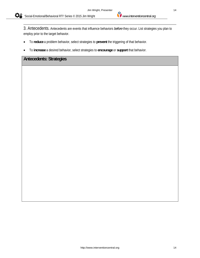3. Antecedents. Antecedents are events that influence behaviors *before* they occur. List strategies you plan to employ prior to the target behavior.

- To **reduce** a problem behavior, select strategies to **prevent** the triggering of that behavior.
- To **increase** a desired behavior, select strategies to **encourage** or **support** that behavior.

### **Antecedents: Strategies**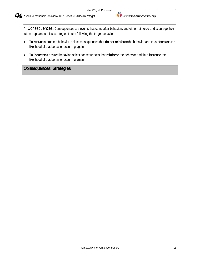4. Consequences. Consequences are events that come after behaviors and either reinforce or discourage their future appearance. List strategies to use following the target behavior.

- To **reduce** a problem behavior, select consequences that **do not reinforce** the behavior and thus **decrease** the likelihood of that behavior occurring again.
- To **increase** a desired behavior, select consequences that **reinforce** the behavior and thus **increase** the likelihood of that behavior occurring again.

## **Consequences: Strategies**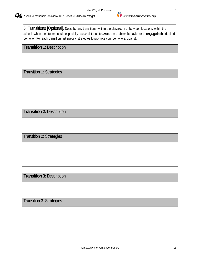5. Transitions [Optional]. Describe any transitions--within the classroom or between locations within the school--when the student could especially use assistance to **avoid** the problem behavior or to **engage** in the desired behavior. For each transition, list specific strategies to promote your behavioral goal(s).

**Transition 1:** Description

Transition 1: Strategies

**Transition 2:** Description

Transition 2: Strategies

**Transition 3:** Description

Transition 3: Strategies